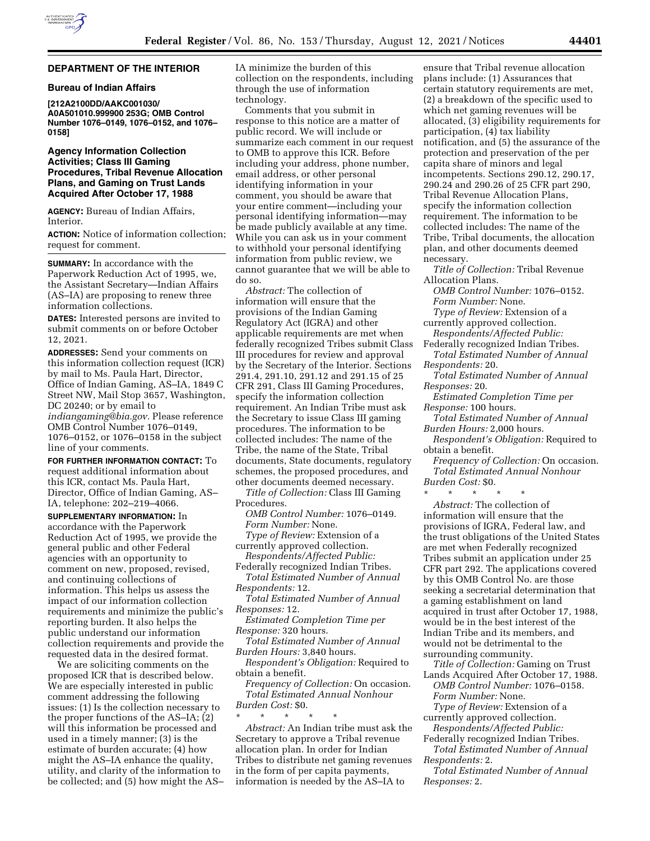## **DEPARTMENT OF THE INTERIOR**

## **Bureau of Indian Affairs**

**[212A2100DD/AAKC001030/ A0A501010.999900 253G; OMB Control Number 1076–0149, 1076–0152, and 1076– 0158]** 

## **Agency Information Collection Activities; Class III Gaming Procedures, Tribal Revenue Allocation Plans, and Gaming on Trust Lands Acquired After October 17, 1988**

**AGENCY:** Bureau of Indian Affairs, Interior.

**ACTION:** Notice of information collection; request for comment.

**SUMMARY:** In accordance with the Paperwork Reduction Act of 1995, we, the Assistant Secretary—Indian Affairs (AS–IA) are proposing to renew three information collections.

**DATES:** Interested persons are invited to submit comments on or before October 12, 2021.

**ADDRESSES:** Send your comments on this information collection request (ICR) by mail to Ms. Paula Hart, Director, Office of Indian Gaming, AS–IA, 1849 C Street NW, Mail Stop 3657, Washington, DC 20240; or by email to *[indiangaming@bia.gov.](mailto:indiangaming@bia.gov)* Please reference OMB Control Number 1076–0149, 1076–0152, or 1076–0158 in the subject line of your comments.

**FOR FURTHER INFORMATION CONTACT:** To request additional information about this ICR, contact Ms. Paula Hart, Director, Office of Indian Gaming, AS– IA, telephone: 202–219–4066.

**SUPPLEMENTARY INFORMATION:** In accordance with the Paperwork Reduction Act of 1995, we provide the general public and other Federal agencies with an opportunity to comment on new, proposed, revised, and continuing collections of information. This helps us assess the impact of our information collection requirements and minimize the public's reporting burden. It also helps the public understand our information collection requirements and provide the requested data in the desired format.

We are soliciting comments on the proposed ICR that is described below. We are especially interested in public comment addressing the following issues: (1) Is the collection necessary to the proper functions of the AS–IA; (2) will this information be processed and used in a timely manner; (3) is the estimate of burden accurate; (4) how might the AS–IA enhance the quality, utility, and clarity of the information to be collected; and (5) how might the AS– IA minimize the burden of this collection on the respondents, including through the use of information technology.

Comments that you submit in response to this notice are a matter of public record. We will include or summarize each comment in our request to OMB to approve this ICR. Before including your address, phone number, email address, or other personal identifying information in your comment, you should be aware that your entire comment—including your personal identifying information—may be made publicly available at any time. While you can ask us in your comment to withhold your personal identifying information from public review, we cannot guarantee that we will be able to do so.

*Abstract:* The collection of information will ensure that the provisions of the Indian Gaming Regulatory Act (IGRA) and other applicable requirements are met when federally recognized Tribes submit Class III procedures for review and approval by the Secretary of the Interior. Sections 291.4, 291.10, 291.12 and 291.15 of 25 CFR 291, Class III Gaming Procedures, specify the information collection requirement. An Indian Tribe must ask the Secretary to issue Class III gaming procedures. The information to be collected includes: The name of the Tribe, the name of the State, Tribal documents, State documents, regulatory schemes, the proposed procedures, and other documents deemed necessary.

*Title of Collection:* Class III Gaming Procedures.

*OMB Control Number:* 1076–0149. *Form Number:* None.

*Type of Review:* Extension of a currently approved collection.

*Respondents/Affected Public:*  Federally recognized Indian Tribes.

*Total Estimated Number of Annual Respondents:* 12.

*Total Estimated Number of Annual Responses:* 12.

*Estimated Completion Time per Response:* 320 hours.

*Total Estimated Number of Annual Burden Hours:* 3,840 hours.

*Respondent's Obligation:* Required to obtain a benefit.

*Frequency of Collection:* On occasion. *Total Estimated Annual Nonhour Burden Cost:* \$0.

\* \* \* \* \* *Abstract:* An Indian tribe must ask the Secretary to approve a Tribal revenue allocation plan. In order for Indian Tribes to distribute net gaming revenues in the form of per capita payments, information is needed by the AS–IA to

ensure that Tribal revenue allocation plans include: (1) Assurances that certain statutory requirements are met, (2) a breakdown of the specific used to which net gaming revenues will be allocated, (3) eligibility requirements for participation, (4) tax liability notification, and (5) the assurance of the protection and preservation of the per capita share of minors and legal incompetents. Sections 290.12, 290.17, 290.24 and 290.26 of 25 CFR part 290, Tribal Revenue Allocation Plans, specify the information collection requirement. The information to be collected includes: The name of the Tribe, Tribal documents, the allocation plan, and other documents deemed necessary.

*Title of Collection:* Tribal Revenue Allocation Plans.

*OMB Control Number:* 1076–0152. *Form Number:* None.

*Type of Review:* Extension of a currently approved collection.

*Respondents/Affected Public:*  Federally recognized Indian Tribes.

*Total Estimated Number of Annual Respondents:* 20.

*Total Estimated Number of Annual Responses:* 20.

*Estimated Completion Time per Response:* 100 hours.

*Total Estimated Number of Annual Burden Hours:* 2,000 hours.

*Respondent's Obligation:* Required to obtain a benefit.

*Frequency of Collection:* On occasion. *Total Estimated Annual Nonhour Burden Cost:* \$0.

\* \* \* \* \* *Abstract:* The collection of information will ensure that the provisions of IGRA, Federal law, and the trust obligations of the United States are met when Federally recognized Tribes submit an application under 25 CFR part 292. The applications covered by this OMB Control No. are those seeking a secretarial determination that a gaming establishment on land acquired in trust after October 17, 1988, would be in the best interest of the Indian Tribe and its members, and would not be detrimental to the surrounding community.

*Title of Collection:* Gaming on Trust Lands Acquired After October 17, 1988. *OMB Control Number:* 1076–0158. *Form Number:* None.

*Type of Review:* Extension of a currently approved collection.

*Respondents/Affected Public:*  Federally recognized Indian Tribes.

*Total Estimated Number of Annual Respondents:* 2.

*Total Estimated Number of Annual Responses:* 2.